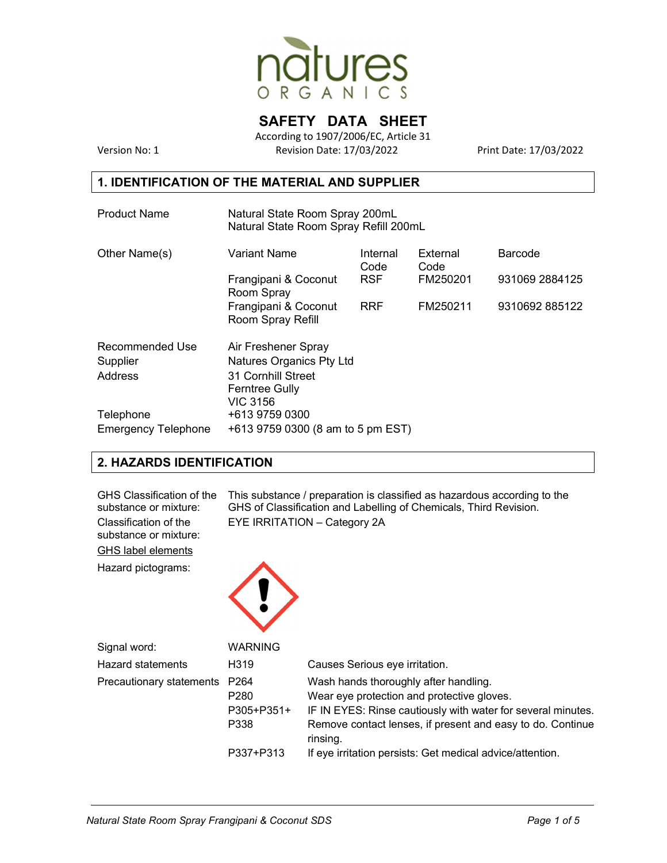

# **SAFETY DATA SHEET**

According to 1907/2006/EC, Article 31 Version No: 1 Revision Date: 17/03/2022 Print Date: 17/03/2022

### **1. IDENTIFICATION OF THE MATERIAL AND SUPPLIER**

| <b>Product Name</b>        | Natural State Room Spray 200mL<br>Natural State Room Spray Refill 200mL |                  |                  |                |
|----------------------------|-------------------------------------------------------------------------|------------------|------------------|----------------|
| Other Name(s)              | <b>Variant Name</b>                                                     | Internal<br>Code | External<br>Code | Barcode        |
|                            | Frangipani & Coconut<br>Room Spray                                      | <b>RSF</b>       | FM250201         | 931069 2884125 |
|                            | Frangipani & Coconut<br>Room Spray Refill                               | <b>RRF</b>       | FM250211         | 9310692885122  |
| Recommended Use            | Air Freshener Spray                                                     |                  |                  |                |
| Supplier                   | Natures Organics Pty Ltd                                                |                  |                  |                |
| Address                    | 31 Cornhill Street<br><b>Ferntree Gully</b><br><b>VIC 3156</b>          |                  |                  |                |
| Telephone                  | +613 9759 0300                                                          |                  |                  |                |
| <b>Emergency Telephone</b> | +613 9759 0300 (8 am to 5 pm EST)                                       |                  |                  |                |

### **2. HAZARDS IDENTIFICATION**

| GHS Classification of the<br>substance or mixture:<br>Classification of the<br>substance or mixture:<br><b>GHS label elements</b><br>Hazard pictograms: |                                                            | This substance / preparation is classified as hazardous according to the<br>GHS of Classification and Labelling of Chemicals, Third Revision.<br>EYE IRRITATION - Category 2A                                                 |
|---------------------------------------------------------------------------------------------------------------------------------------------------------|------------------------------------------------------------|-------------------------------------------------------------------------------------------------------------------------------------------------------------------------------------------------------------------------------|
| Signal word:                                                                                                                                            | <b>WARNING</b>                                             |                                                                                                                                                                                                                               |
| <b>Hazard statements</b>                                                                                                                                | H <sub>319</sub>                                           | Causes Serious eye irritation.                                                                                                                                                                                                |
| Precautionary statements                                                                                                                                | P <sub>264</sub><br>P <sub>280</sub><br>P305+P351+<br>P338 | Wash hands thoroughly after handling.<br>Wear eye protection and protective gloves.<br>IF IN EYES: Rinse cautiously with water for several minutes.<br>Remove contact lenses, if present and easy to do. Continue<br>rinsing. |
|                                                                                                                                                         | P337+P313                                                  | If eye irritation persists: Get medical advice/attention.                                                                                                                                                                     |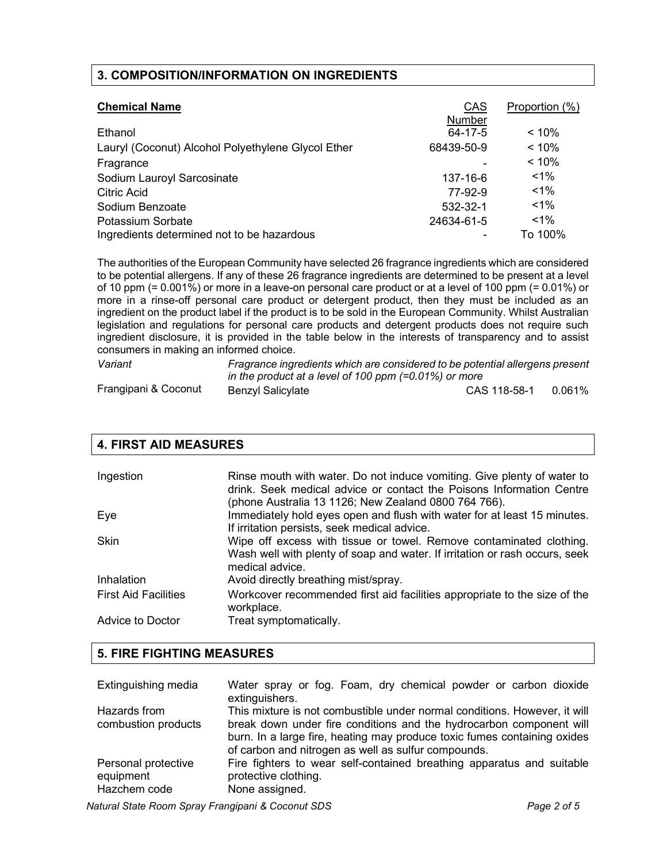### **3. COMPOSITION/INFORMATION ON INGREDIENTS**

| <b>Chemical Name</b>                               | <b>CAS</b> | Proportion (%) |
|----------------------------------------------------|------------|----------------|
|                                                    | Number     |                |
| Ethanol                                            | 64-17-5    | $< 10\%$       |
| Lauryl (Coconut) Alcohol Polyethylene Glycol Ether | 68439-50-9 | < 10%          |
| Fragrance                                          |            | < 10%          |
| Sodium Lauroyl Sarcosinate                         | 137-16-6   | $1\%$          |
| Citric Acid                                        | 77-92-9    | $1\%$          |
| Sodium Benzoate                                    | 532-32-1   | $1\%$          |
| Potassium Sorbate                                  | 24634-61-5 | $1\%$          |
| Ingredients determined not to be hazardous         |            | To 100%        |

The authorities of the European Community have selected 26 fragrance ingredients which are considered to be potential allergens. If any of these 26 fragrance ingredients are determined to be present at a level of 10 ppm (= 0.001%) or more in a leave-on personal care product or at a level of 100 ppm (= 0.01%) or more in a rinse-off personal care product or detergent product, then they must be included as an ingredient on the product label if the product is to be sold in the European Community. Whilst Australian legislation and regulations for personal care products and detergent products does not require such ingredient disclosure, it is provided in the table below in the interests of transparency and to assist consumers in making an informed choice.

| Variant              | Fragrance ingredients which are considered to be potential allergens present<br>in the product at a level of 100 ppm $(=0.01\%)$ or more |              |        |
|----------------------|------------------------------------------------------------------------------------------------------------------------------------------|--------------|--------|
| Frangipani & Coconut |                                                                                                                                          |              |        |
|                      | Benzyl Salicylate                                                                                                                        | CAS 118-58-1 | 0.061% |

| <b>4. FIRST AID MEASURES</b> |                                                                                                                                                                                                         |  |
|------------------------------|---------------------------------------------------------------------------------------------------------------------------------------------------------------------------------------------------------|--|
|                              |                                                                                                                                                                                                         |  |
| Ingestion                    | Rinse mouth with water. Do not induce vomiting. Give plenty of water to<br>drink. Seek medical advice or contact the Poisons Information Centre<br>(phone Australia 13 1126; New Zealand 0800 764 766). |  |
| Eye                          | Immediately hold eyes open and flush with water for at least 15 minutes.<br>If irritation persists, seek medical advice.                                                                                |  |
| Skin                         | Wipe off excess with tissue or towel. Remove contaminated clothing.<br>Wash well with plenty of soap and water. If irritation or rash occurs, seek<br>medical advice.                                   |  |
| Inhalation                   | Avoid directly breathing mist/spray.                                                                                                                                                                    |  |
| <b>First Aid Facilities</b>  | Workcover recommended first aid facilities appropriate to the size of the<br>workplace.                                                                                                                 |  |
| Advice to Doctor             | Treat symptomatically.                                                                                                                                                                                  |  |

### **5. FIRE FIGHTING MEASURES**

| Extinguishing media                              | Water spray or fog. Foam, dry chemical powder or carbon dioxide<br>extinguishers.                                                                                                                                                                                                   |
|--------------------------------------------------|-------------------------------------------------------------------------------------------------------------------------------------------------------------------------------------------------------------------------------------------------------------------------------------|
| Hazards from<br>combustion products              | This mixture is not combustible under normal conditions. However, it will<br>break down under fire conditions and the hydrocarbon component will<br>burn. In a large fire, heating may produce toxic fumes containing oxides<br>of carbon and nitrogen as well as sulfur compounds. |
| Personal protective<br>equipment<br>Hazchem code | Fire fighters to wear self-contained breathing apparatus and suitable<br>protective clothing.<br>None assigned.                                                                                                                                                                     |

*Natural State Room Spray Frangipani & Coconut SDS Page 2 of 5*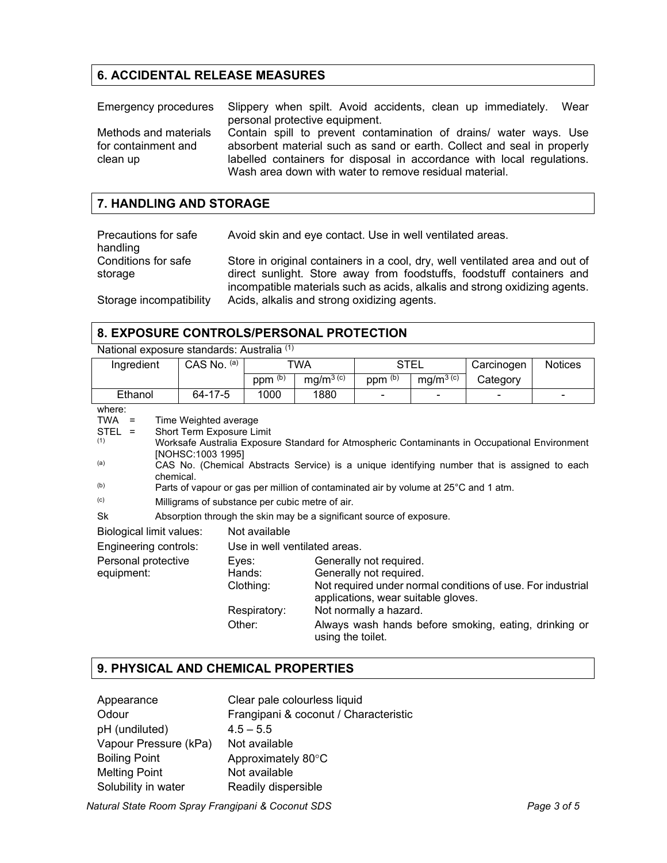# **6. ACCIDENTAL RELEASE MEASURES**

|                                              | Emergency procedures Slippery when spilt. Avoid accidents, clean up immediately. Wear                                                       |
|----------------------------------------------|---------------------------------------------------------------------------------------------------------------------------------------------|
|                                              | personal protective equipment.                                                                                                              |
| Methods and materials<br>for containment and | Contain spill to prevent contamination of drains/ water ways. Use<br>absorbent material such as sand or earth. Collect and seal in properly |
| clean up                                     | labelled containers for disposal in accordance with local regulations.<br>Wash area down with water to remove residual material.            |

#### **7. HANDLING AND STORAGE**

| Precautions for safe           | Avoid skin and eye contact. Use in well ventilated areas.                                                                                                                                                                           |
|--------------------------------|-------------------------------------------------------------------------------------------------------------------------------------------------------------------------------------------------------------------------------------|
| handling                       |                                                                                                                                                                                                                                     |
| Conditions for safe<br>storage | Store in original containers in a cool, dry, well ventilated area and out of<br>direct sunlight. Store away from foodstuffs, foodstuff containers and<br>incompatible materials such as acids, alkalis and strong oxidizing agents. |
| Storage incompatibility        | Acids, alkalis and strong oxidizing agents.                                                                                                                                                                                         |

### **8. EXPOSURE CONTROLS/PERSONAL PROTECTION**

|                                                                          | National exposure standards: Australia (1)                                                                                                                                                                                                                                                                                                                                                                                      |                 |                                     |                               |                                                                                                                     |                       |                                                                                                                      |                |
|--------------------------------------------------------------------------|---------------------------------------------------------------------------------------------------------------------------------------------------------------------------------------------------------------------------------------------------------------------------------------------------------------------------------------------------------------------------------------------------------------------------------|-----------------|-------------------------------------|-------------------------------|---------------------------------------------------------------------------------------------------------------------|-----------------------|----------------------------------------------------------------------------------------------------------------------|----------------|
| Ingredient                                                               |                                                                                                                                                                                                                                                                                                                                                                                                                                 | CAS No. (a)     | TWA                                 |                               | STEL                                                                                                                |                       | Carcinogen                                                                                                           | <b>Notices</b> |
|                                                                          |                                                                                                                                                                                                                                                                                                                                                                                                                                 |                 | $ppm^{(b)}$                         | $mg/m^{3}$ <sup>(c)</sup>     | $ppm^{(b)}$                                                                                                         | mg/m <sup>3 (c)</sup> | Category                                                                                                             |                |
| Ethanol                                                                  |                                                                                                                                                                                                                                                                                                                                                                                                                                 | 64-17-5         | 1000                                | 1880                          |                                                                                                                     |                       |                                                                                                                      |                |
| where:<br><b>TWA</b><br>$\equiv$<br>$STEL =$<br>(1)<br>(a)<br>(b)<br>(c) | Time Weighted average<br>Short Term Exposure Limit<br>Worksafe Australia Exposure Standard for Atmospheric Contaminants in Occupational Environment<br>[NOHSC:1003 1995]<br>CAS No. (Chemical Abstracts Service) is a unique identifying number that is assigned to each<br>chemical.<br>Parts of vapour or gas per million of contaminated air by volume at 25°C and 1 atm.<br>Milligrams of substance per cubic metre of air. |                 |                                     |                               |                                                                                                                     |                       |                                                                                                                      |                |
| Sk                                                                       | Absorption through the skin may be a significant source of exposure.                                                                                                                                                                                                                                                                                                                                                            |                 |                                     |                               |                                                                                                                     |                       |                                                                                                                      |                |
| Not available<br>Biological limit values:                                |                                                                                                                                                                                                                                                                                                                                                                                                                                 |                 |                                     |                               |                                                                                                                     |                       |                                                                                                                      |                |
| Engineering controls:                                                    |                                                                                                                                                                                                                                                                                                                                                                                                                                 |                 |                                     | Use in well ventilated areas. |                                                                                                                     |                       |                                                                                                                      |                |
| Personal protective<br>equipment:                                        |                                                                                                                                                                                                                                                                                                                                                                                                                                 | Eyes:<br>Other: | Hands:<br>Clothing:<br>Respiratory: | using the toilet.             | Generally not required.<br>Generally not required.<br>applications, wear suitable gloves.<br>Not normally a hazard. |                       | Not required under normal conditions of use. For industrial<br>Always wash hands before smoking, eating, drinking or |                |

## **9. PHYSICAL AND CHEMICAL PROPERTIES**

| Clear pale colourless liquid          |
|---------------------------------------|
| Frangipani & coconut / Characteristic |
| $4.5 - 5.5$                           |
| Not available                         |
| Approximately 80°C                    |
| Not available                         |
| Readily dispersible                   |
|                                       |

*Natural State Room Spray Frangipani & Coconut SDS Page 3 of 5*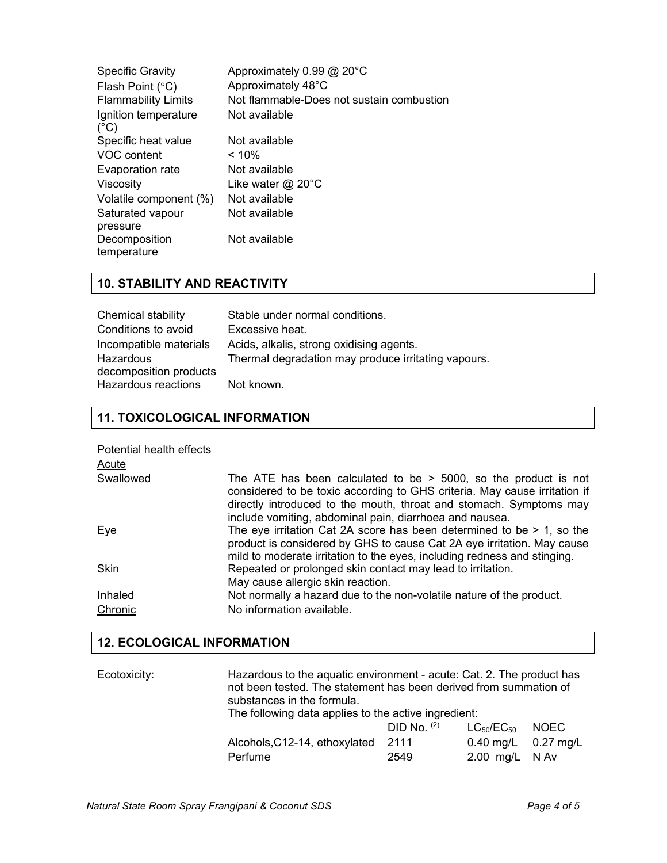| <b>Specific Gravity</b><br>Flash Point $(°C)$<br><b>Flammability Limits</b> | Approximately 0.99 @ 20°C<br>Approximately 48°C<br>Not flammable-Does not sustain combustion |
|-----------------------------------------------------------------------------|----------------------------------------------------------------------------------------------|
| Ignition temperature<br>$(^{\circ}C)$                                       | Not available                                                                                |
| Specific heat value                                                         | Not available                                                                                |
| VOC content                                                                 | $< 10\%$                                                                                     |
| Evaporation rate                                                            | Not available                                                                                |
| Viscosity                                                                   | Like water $@$ 20 $°C$                                                                       |
| Volatile component (%)                                                      | Not available                                                                                |
| Saturated vapour                                                            | Not available                                                                                |
| pressure                                                                    |                                                                                              |
| Decomposition<br>temperature                                                | Not available                                                                                |

# **10. STABILITY AND REACTIVITY**

| Chemical stability                  | Stable under normal conditions.                     |
|-------------------------------------|-----------------------------------------------------|
| Conditions to avoid                 | Excessive heat.                                     |
| Incompatible materials              | Acids, alkalis, strong oxidising agents.            |
| Hazardous<br>decomposition products | Thermal degradation may produce irritating vapours. |
| Hazardous reactions                 | Not known.                                          |

### **11. TOXICOLOGICAL INFORMATION**

| Potential health effects<br>Acute |                                                                                                                                                                                                                                                                                 |
|-----------------------------------|---------------------------------------------------------------------------------------------------------------------------------------------------------------------------------------------------------------------------------------------------------------------------------|
| Swallowed                         | The ATE has been calculated to be $>$ 5000, so the product is not<br>considered to be toxic according to GHS criteria. May cause irritation if<br>directly introduced to the mouth, throat and stomach. Symptoms may<br>include vomiting, abdominal pain, diarrhoea and nausea. |
| Eye                               | The eye irritation Cat 2A score has been determined to be $> 1$ , so the<br>product is considered by GHS to cause Cat 2A eye irritation. May cause<br>mild to moderate irritation to the eyes, including redness and stinging.                                                  |
| <b>Skin</b>                       | Repeated or prolonged skin contact may lead to irritation.<br>May cause allergic skin reaction.                                                                                                                                                                                 |
| Inhaled                           | Not normally a hazard due to the non-volatile nature of the product.                                                                                                                                                                                                            |
| Chronic                           | No information available.                                                                                                                                                                                                                                                       |

## **12. ECOLOGICAL INFORMATION**

| Ecotoxicity: | Hazardous to the aquatic environment - acute: Cat. 2. The product has<br>not been tested. The statement has been derived from summation of<br>substances in the formula.<br>The following data applies to the active ingredient: |                                 |                                                                |       |
|--------------|----------------------------------------------------------------------------------------------------------------------------------------------------------------------------------------------------------------------------------|---------------------------------|----------------------------------------------------------------|-------|
|              | Alcohols, C12-14, ethoxylated<br>Perfume                                                                                                                                                                                         | $DID$ No. $(2)$<br>2111<br>2549 | $LC_{50}/EC_{50}$<br>$0.40$ mg/L $0.27$ mg/L<br>2.00 mg/L N Av | NOEC. |